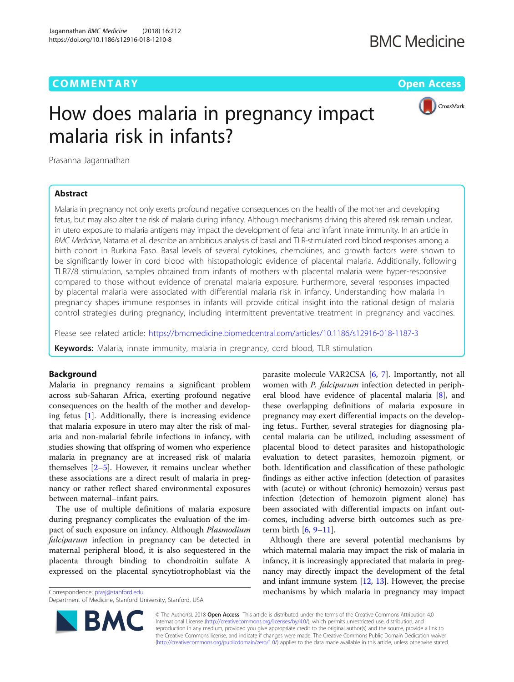## **COMMENTARY COMMENTARY COMMENTARY**



# How does malaria in pregnancy impact malaria risk in infants?

Prasanna Jagannathan

## Abstract

Malaria in pregnancy not only exerts profound negative consequences on the health of the mother and developing fetus, but may also alter the risk of malaria during infancy. Although mechanisms driving this altered risk remain unclear, in utero exposure to malaria antigens may impact the development of fetal and infant innate immunity. In an article in BMC Medicine, Natama et al. describe an ambitious analysis of basal and TLR-stimulated cord blood responses among a birth cohort in Burkina Faso. Basal levels of several cytokines, chemokines, and growth factors were shown to be significantly lower in cord blood with histopathologic evidence of placental malaria. Additionally, following TLR7/8 stimulation, samples obtained from infants of mothers with placental malaria were hyper-responsive compared to those without evidence of prenatal malaria exposure. Furthermore, several responses impacted by placental malaria were associated with differential malaria risk in infancy. Understanding how malaria in pregnancy shapes immune responses in infants will provide critical insight into the rational design of malaria control strategies during pregnancy, including intermittent preventative treatment in pregnancy and vaccines.

Please see related article: <https://bmcmedicine.biomedcentral.com/articles/10.1186/s12916-018-1187-3>

Keywords: Malaria, innate immunity, malaria in pregnancy, cord blood, TLR stimulation

## Background

Malaria in pregnancy remains a significant problem across sub-Saharan Africa, exerting profound negative consequences on the health of the mother and developing fetus [\[1](#page-2-0)]. Additionally, there is increasing evidence that malaria exposure in utero may alter the risk of malaria and non-malarial febrile infections in infancy, with studies showing that offspring of women who experience malaria in pregnancy are at increased risk of malaria themselves [[2](#page-2-0)–[5](#page-2-0)]. However, it remains unclear whether these associations are a direct result of malaria in pregnancy or rather reflect shared environmental exposures between maternal–infant pairs.

The use of multiple definitions of malaria exposure during pregnancy complicates the evaluation of the impact of such exposure on infancy. Although Plasmodium falciparum infection in pregnancy can be detected in maternal peripheral blood, it is also sequestered in the placenta through binding to chondroitin sulfate A expressed on the placental syncytiotrophoblast via the

**BM** 

parasite molecule VAR2CSA [[6,](#page-2-0) [7](#page-2-0)]. Importantly, not all women with *P. falciparum* infection detected in peripheral blood have evidence of placental malaria [\[8](#page-2-0)], and these overlapping definitions of malaria exposure in pregnancy may exert differential impacts on the developing fetus.. Further, several strategies for diagnosing placental malaria can be utilized, including assessment of placental blood to detect parasites and histopathologic evaluation to detect parasites, hemozoin pigment, or both. Identification and classification of these pathologic findings as either active infection (detection of parasites with (acute) or without (chronic) hemozoin) versus past infection (detection of hemozoin pigment alone) has been associated with differential impacts on infant outcomes, including adverse birth outcomes such as preterm birth  $[6, 9-11]$  $[6, 9-11]$  $[6, 9-11]$  $[6, 9-11]$  $[6, 9-11]$ .

Although there are several potential mechanisms by which maternal malaria may impact the risk of malaria in infancy, it is increasingly appreciated that malaria in pregnancy may directly impact the development of the fetal and infant immune system  $[12, 13]$  $[12, 13]$  $[12, 13]$  $[12, 13]$ . However, the precise Correspondence: [prasj@stanford.edu](mailto:prasj@stanford.edu) mechanisms by which malaria in pregnancy may impact



Department of Medicine, Stanford University, Stanford, USA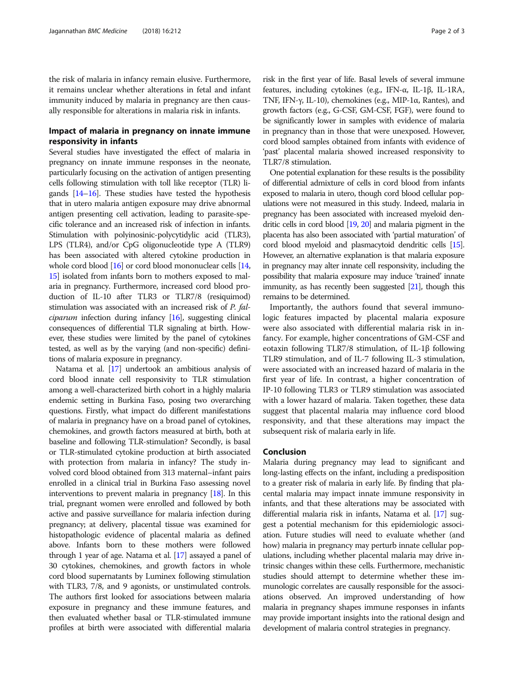the risk of malaria in infancy remain elusive. Furthermore, it remains unclear whether alterations in fetal and infant immunity induced by malaria in pregnancy are then causally responsible for alterations in malaria risk in infants.

## Impact of malaria in pregnancy on innate immune responsivity in infants

Several studies have investigated the effect of malaria in pregnancy on innate immune responses in the neonate, particularly focusing on the activation of antigen presenting cells following stimulation with toll like receptor (TLR) ligands [\[14](#page-2-0)–[16\]](#page-2-0). These studies have tested the hypothesis that in utero malaria antigen exposure may drive abnormal antigen presenting cell activation, leading to parasite-specific tolerance and an increased risk of infection in infants. Stimulation with polyinosinic-polycytidylic acid (TLR3), LPS (TLR4), and/or CpG oligonucleotide type A (TLR9) has been associated with altered cytokine production in whole cord blood [\[16](#page-2-0)] or cord blood mononuclear cells [\[14](#page-2-0), [15](#page-2-0)] isolated from infants born to mothers exposed to malaria in pregnancy. Furthermore, increased cord blood production of IL-10 after TLR3 or TLR7/8 (resiquimod) stimulation was associated with an increased risk of P. fal*ciparum* infection during infancy  $[16]$  $[16]$ , suggesting clinical consequences of differential TLR signaling at birth. However, these studies were limited by the panel of cytokines tested, as well as by the varying (and non-specific) definitions of malaria exposure in pregnancy.

Natama et al. [\[17\]](#page-2-0) undertook an ambitious analysis of cord blood innate cell responsivity to TLR stimulation among a well-characterized birth cohort in a highly malaria endemic setting in Burkina Faso, posing two overarching questions. Firstly, what impact do different manifestations of malaria in pregnancy have on a broad panel of cytokines, chemokines, and growth factors measured at birth, both at baseline and following TLR-stimulation? Secondly, is basal or TLR-stimulated cytokine production at birth associated with protection from malaria in infancy? The study involved cord blood obtained from 313 maternal–infant pairs enrolled in a clinical trial in Burkina Faso assessing novel interventions to prevent malaria in pregnancy [[18\]](#page-2-0). In this trial, pregnant women were enrolled and followed by both active and passive surveillance for malaria infection during pregnancy; at delivery, placental tissue was examined for histopathologic evidence of placental malaria as defined above. Infants born to these mothers were followed through 1 year of age. Natama et al. [\[17\]](#page-2-0) assayed a panel of 30 cytokines, chemokines, and growth factors in whole cord blood supernatants by Luminex following stimulation with TLR3, 7/8, and 9 agonists, or unstimulated controls. The authors first looked for associations between malaria exposure in pregnancy and these immune features, and then evaluated whether basal or TLR-stimulated immune profiles at birth were associated with differential malaria

risk in the first year of life. Basal levels of several immune features, including cytokines (e.g., IFN-α, IL-1β, IL-1RA, TNF, IFN-γ, IL-10), chemokines (e.g., MIP-1α, Rantes), and growth factors (e.g., G-CSF, GM-CSF, FGF), were found to be significantly lower in samples with evidence of malaria in pregnancy than in those that were unexposed. However, cord blood samples obtained from infants with evidence of 'past' placental malaria showed increased responsivity to TLR7/8 stimulation.

One potential explanation for these results is the possibility of differential admixture of cells in cord blood from infants exposed to malaria in utero, though cord blood cellular populations were not measured in this study. Indeed, malaria in pregnancy has been associated with increased myeloid dendritic cells in cord blood [\[19,](#page-2-0) [20\]](#page-2-0) and malaria pigment in the placenta has also been associated with 'partial maturation' of cord blood myeloid and plasmacytoid dendritic cells [\[15\]](#page-2-0). However, an alternative explanation is that malaria exposure in pregnancy may alter innate cell responsivity, including the possibility that malaria exposure may induce 'trained' innate immunity, as has recently been suggested [\[21\]](#page-2-0), though this remains to be determined.

Importantly, the authors found that several immunologic features impacted by placental malaria exposure were also associated with differential malaria risk in infancy. For example, higher concentrations of GM-CSF and eotaxin following TLR7/8 stimulation, of IL-1β following TLR9 stimulation, and of IL-7 following IL-3 stimulation, were associated with an increased hazard of malaria in the first year of life. In contrast, a higher concentration of IP-10 following TLR3 or TLR9 stimulation was associated with a lower hazard of malaria. Taken together, these data suggest that placental malaria may influence cord blood responsivity, and that these alterations may impact the subsequent risk of malaria early in life.

### Conclusion

Malaria during pregnancy may lead to significant and long-lasting effects on the infant, including a predisposition to a greater risk of malaria in early life. By finding that placental malaria may impact innate immune responsivity in infants, and that these alterations may be associated with differential malaria risk in infants, Natama et al. [[17](#page-2-0)] suggest a potential mechanism for this epidemiologic association. Future studies will need to evaluate whether (and how) malaria in pregnancy may perturb innate cellular populations, including whether placental malaria may drive intrinsic changes within these cells. Furthermore, mechanistic studies should attempt to determine whether these immunologic correlates are causally responsible for the associations observed. An improved understanding of how malaria in pregnancy shapes immune responses in infants may provide important insights into the rational design and development of malaria control strategies in pregnancy.